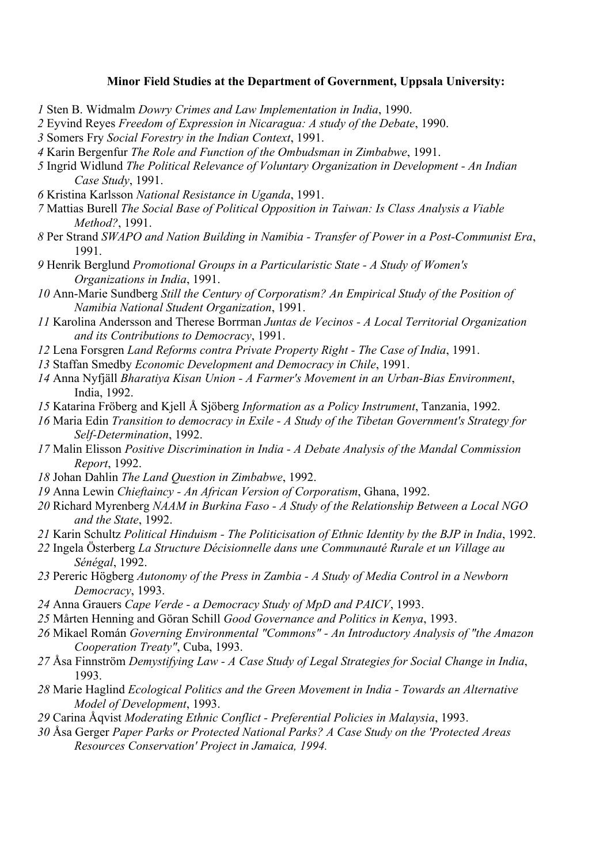## **Minor Field Studies at the Department of Government, Uppsala University:**

- Sten B. Widmalm *Dowry Crimes and Law Implementation in India*, 1990.
- Eyvind Reyes *Freedom of Expression in Nicaragua: A study of the Debate*, 1990.
- Somers Fry *Social Forestry in the Indian Context*, 1991.
- Karin Bergenfur *The Role and Function of the Ombudsman in Zimbabwe*, 1991.
- Ingrid Widlund *The Political Relevance of Voluntary Organization in Development - An Indian Case Study*, 1991.
- Kristina Karlsson *National Resistance in Uganda*, 1991.
- Mattias Burell *The Social Base of Political Opposition in Taiwan: Is Class Analysis a Viable Method?*, 1991.
- Per Strand *SWAPO and Nation Building in Namibia - Transfer of Power in a Post-Communist Era*, 1991.
- Henrik Berglund *Promotional Groups in a Particularistic State - A Study of Women's Organizations in India*, 1991.
- Ann-Marie Sundberg *Still the Century of Corporatism? An Empirical Study of the Position of Namibia National Student Organization*, 1991.
- Karolina Andersson and Therese Borrman *Juntas de Vecinos - A Local Territorial Organization and its Contributions to Democracy*, 1991.
- Lena Forsgren *Land Reforms contra Private Property Right - The Case of India*, 1991.
- Staffan Smedby *Economic Development and Democracy in Chile*, 1991.
- Anna Nyfjäll *Bharatiya Kisan Union - A Farmer's Movement in an Urban-Bias Environment*, India, 1992.
- Katarina Fröberg and Kjell Å Sjöberg *Information as a Policy Instrument*, Tanzania, 1992.
- Maria Edin *Transition to democracy in Exile - A Study of the Tibetan Government's Strategy for Self-Determination*, 1992.
- Malin Elisson *Positive Discrimination in India - A Debate Analysis of the Mandal Commission Report*, 1992.
- Johan Dahlin *The Land Question in Zimbabwe*, 1992.
- Anna Lewin *Chieftaincy - An African Version of Corporatism*, Ghana, 1992.
- Richard Myrenberg *NAAM in Burkina Faso - A Study of the Relationship Between a Local NGO and the State*, 1992.
- Karin Schultz *Political Hinduism - The Politicisation of Ethnic Identity by the BJP in India*, 1992.
- Ingela Österberg *La Structure Décisionnelle dans une Communauté Rurale et un Village au Sénégal*, 1992.
- Pereric Högberg *Autonomy of the Press in Zambia - A Study of Media Control in a Newborn Democracy*, 1993.
- Anna Grauers *Cape Verde - a Democracy Study of MpD and PAICV*, 1993.
- Mårten Henning and Göran Schill *Good Governance and Politics in Kenya*, 1993.
- Mikael Román *Governing Environmental "Commons" - An Introductory Analysis of "the Amazon Cooperation Treaty"*, Cuba, 1993.
- Åsa Finnström *Demystifying Law - A Case Study of Legal Strategies for Social Change in India*, 1993.
- Marie Haglind *Ecological Politics and the Green Movement in India - Towards an Alternative Model of Development*, 1993.
- Carina Åqvist *Moderating Ethnic Conflict - Preferential Policies in Malaysia*, 1993.
- Åsa Gerger *Paper Parks or Protected National Parks? A Case Study on the 'Protected Areas Resources Conservation' Project in Jamaica, 1994.*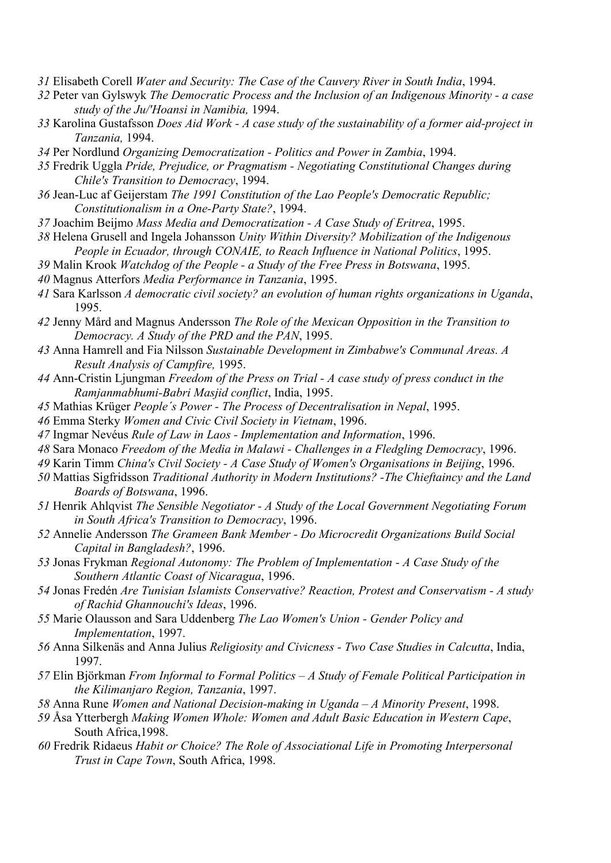- Elisabeth Corell *Water and Security: The Case of the Cauvery River in South India*, 1994.
- Peter van Gylswyk *The Democratic Process and the Inclusion of an Indigenous Minority - a case study of the Ju/'Hoansi in Namibia,* 1994.
- Karolina Gustafsson *Does Aid Work - A case study of the sustainability of a former aid-project in Tanzania,* 1994.
- Per Nordlund *Organizing Democratization - Politics and Power in Zambia*, 1994.
- Fredrik Uggla *Pride, Prejudice, or Pragmatism - Negotiating Constitutional Changes during Chile's Transition to Democracy*, 1994.
- Jean-Luc af Geijerstam *The 1991 Constitution of the Lao People's Democratic Republic; Constitutionalism in a One-Party State?*, 1994.
- Joachim Beijmo *Mass Media and Democratization - A Case Study of Eritrea*, 1995.
- Helena Grusell and Ingela Johansson *Unity Within Diversity? Mobilization of the Indigenous People in Ecuador, through CONAIE, to Reach Influence in National Politics*, 1995.
- Malin Krook *Watchdog of the People - a Study of the Free Press in Botswana*, 1995.
- Magnus Atterfors *Media Performance in Tanzania*, 1995.
- Sara Karlsson *A democratic civil society? an evolution of human rights organizations in Uganda*, 1995.
- Jenny Mård and Magnus Andersson *The Role of the Mexican Opposition in the Transition to Democracy. A Study of the PRD and the PAN*, 1995.
- Anna Hamrell and Fia Nilsson *Sustainable Development in Zimbabwe's Communal Areas. A Result Analysis of Campfire,* 1995.
- Ann-Cristin Ljungman *Freedom of the Press on Trial - A case study of press conduct in the Ramjanmabhumi-Babri Masjid conflict*, India, 1995.
- Mathias Krüger *People´s Power - The Process of Decentralisation in Nepal*, 1995.
- Emma Sterky *Women and Civic Civil Society in Vietnam*, 1996.
- Ingmar Nevéus *Rule of Law in Laos - Implementation and Information*, 1996.
- Sara Monaco *Freedom of the Media in Malawi - Challenges in a Fledgling Democracy*, 1996.
- Karin Timm *China's Civil Society - A Case Study of Women's Organisations in Beijing*, 1996.
- Mattias Sigfridsson *Traditional Authority in Modern Institutions? -The Chieftaincy and the Land Boards of Botswana*, 1996.
- Henrik Ahlqvist *The Sensible Negotiator - A Study of the Local Government Negotiating Forum in South Africa's Transition to Democracy*, 1996.
- Annelie Andersson *The Grameen Bank Member - Do Microcredit Organizations Build Social Capital in Bangladesh?*, 1996.
- Jonas Frykman *Regional Autonomy: The Problem of Implementation - A Case Study of the Southern Atlantic Coast of Nicaragua*, 1996.
- Jonas Fredén *Are Tunisian Islamists Conservative? Reaction, Protest and Conservatism - A study of Rachid Ghannouchi's Ideas*, 1996.
- Marie Olausson and Sara Uddenberg *The Lao Women's Union - Gender Policy and Implementation*, 1997.
- Anna Silkenäs and Anna Julius *Religiosity and Civicness - Two Case Studies in Calcutta*, India, 1997.
- Elin Björkman *From Informal to Formal Politics – A Study of Female Political Participation in the Kilimanjaro Region, Tanzania*, 1997.
- Anna Rune *Women and National Decision-making in Uganda – A Minority Present*, 1998.
- Åsa Ytterbergh *Making Women Whole: Women and Adult Basic Education in Western Cape*, South Africa,1998.
- Fredrik Ridaeus *Habit or Choice? The Role of Associational Life in Promoting Interpersonal Trust in Cape Town*, South Africa, 1998.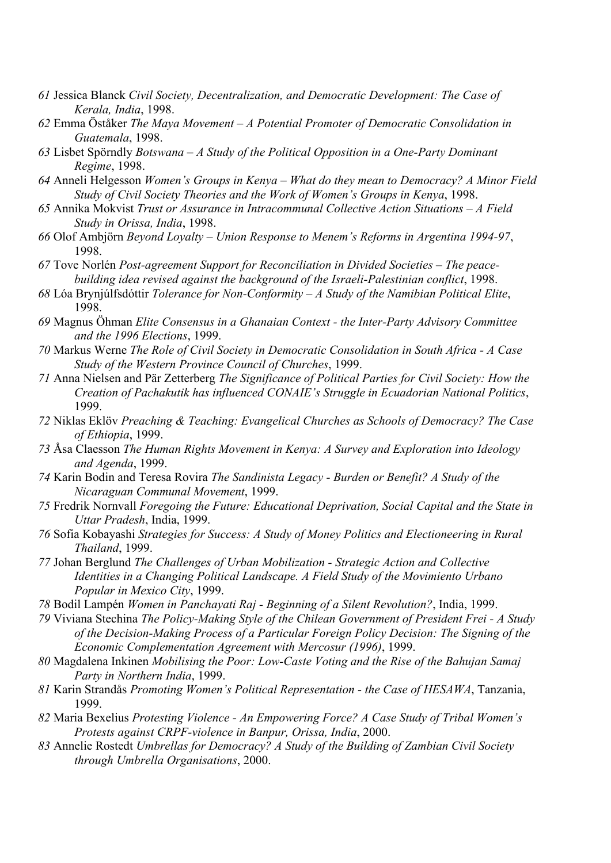- *61* Jessica Blanck *Civil Society, Decentralization, and Democratic Development: The Case of Kerala, India*, 1998.
- *62* Emma Öståker *The Maya Movement – A Potential Promoter of Democratic Consolidation in Guatemala*, 1998.
- *63* Lisbet Spörndly *Botswana – A Study of the Political Opposition in a One-Party Dominant Regime*, 1998.
- *64* Anneli Helgesson *Women's Groups in Kenya – What do they mean to Democracy? A Minor Field Study of Civil Society Theories and the Work of Women's Groups in Kenya*, 1998.
- *65* Annika Mokvist *Trust or Assurance in Intracommunal Collective Action Situations – A Field Study in Orissa, India*, 1998.
- *66* Olof Ambjörn *Beyond Loyalty – Union Response to Menem's Reforms in Argentina 1994-97*, 1998.
- *67* Tove Norlén *Post-agreement Support for Reconciliation in Divided Societies – The peacebuilding idea revised against the background of the Israeli-Palestinian conflict*, 1998.
- *68* Lóa Brynjúlfsdóttir *Tolerance for Non-Conformity – A Study of the Namibian Political Elite*, 1998.
- *69* Magnus Öhman *Elite Consensus in a Ghanaian Context - the Inter-Party Advisory Committee and the 1996 Elections*, 1999.
- *70* Markus Werne *The Role of Civil Society in Democratic Consolidation in South Africa - A Case Study of the Western Province Council of Churches*, 1999.
- *71* Anna Nielsen and Pär Zetterberg *The Significance of Political Parties for Civil Society: How the Creation of Pachakutik has influenced CONAIE's Struggle in Ecuadorian National Politics*, 1999.
- *72* Niklas Eklöv *Preaching & Teaching: Evangelical Churches as Schools of Democracy? The Case of Ethiopia*, 1999.
- *73* Åsa Claesson *The Human Rights Movement in Kenya: A Survey and Exploration into Ideology and Agenda*, 1999.
- *74* Karin Bodin and Teresa Rovira *The Sandinista Legacy - Burden or Benefit? A Study of the Nicaraguan Communal Movement*, 1999.
- *75* Fredrik Nornvall *Foregoing the Future: Educational Deprivation, Social Capital and the State in Uttar Pradesh*, India, 1999.
- *76* Sofia Kobayashi *Strategies for Success: A Study of Money Politics and Electioneering in Rural Thailand*, 1999.
- *77* Johan Berglund *The Challenges of Urban Mobilization - Strategic Action and Collective Identities in a Changing Political Landscape. A Field Study of the Movimiento Urbano Popular in Mexico City*, 1999.
- *78* Bodil Lampén *Women in Panchayati Raj - Beginning of a Silent Revolution?*, India, 1999.
- *79* Viviana Stechina *The Policy-Making Style of the Chilean Government of President Frei - A Study of the Decision-Making Process of a Particular Foreign Policy Decision: The Signing of the Economic Complementation Agreement with Mercosur (1996)*, 1999.
- *80* Magdalena Inkinen *Mobilising the Poor: Low-Caste Voting and the Rise of the Bahujan Samaj Party in Northern India*, 1999.
- *81* Karin Strandås *Promoting Women's Political Representation - the Case of HESAWA*, Tanzania, 1999.
- *82* Maria Bexelius *Protesting Violence - An Empowering Force? A Case Study of Tribal Women's Protests against CRPF-violence in Banpur, Orissa, India*, 2000.
- *83* Annelie Rostedt *Umbrellas for Democracy? A Study of the Building of Zambian Civil Society through Umbrella Organisations*, 2000.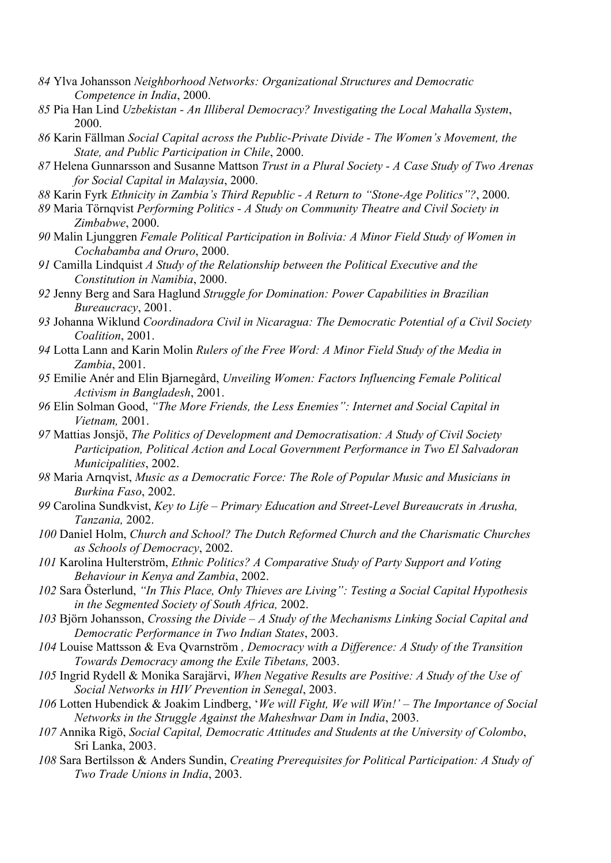- *84* Ylva Johansson *Neighborhood Networks: Organizational Structures and Democratic Competence in India*, 2000.
- *85* Pia Han Lind *Uzbekistan - An Illiberal Democracy? Investigating the Local Mahalla System*, 2000.
- *86* Karin Fällman *Social Capital across the Public-Private Divide - The Women's Movement, the State, and Public Participation in Chile*, 2000.
- *87* Helena Gunnarsson and Susanne Mattson *Trust in a Plural Society - A Case Study of Two Arenas for Social Capital in Malaysia*, 2000.
- *88* Karin Fyrk *Ethnicity in Zambia's Third Republic - A Return to "Stone-Age Politics"?*, 2000.
- *89* Maria Törnqvist *Performing Politics - A Study on Community Theatre and Civil Society in Zimbabwe*, 2000.
- *90* Malin Ljunggren *Female Political Participation in Bolivia: A Minor Field Study of Women in Cochabamba and Oruro*, 2000.
- *91* Camilla Lindquist *A Study of the Relationship between the Political Executive and the Constitution in Namibia*, 2000.
- *92* Jenny Berg and Sara Haglund *Struggle for Domination: Power Capabilities in Brazilian Bureaucracy*, 2001.
- *93* Johanna Wiklund *Coordinadora Civil in Nicaragua: The Democratic Potential of a Civil Society Coalition*, 2001.
- *94* Lotta Lann and Karin Molin *Rulers of the Free Word: A Minor Field Study of the Media in Zambia*, 2001.
- *95* Emilie Anér and Elin Bjarnegård, *Unveiling Women: Factors Influencing Female Political Activism in Bangladesh*, 2001.
- *96* Elin Solman Good, *"The More Friends, the Less Enemies": Internet and Social Capital in Vietnam,* 2001.
- *97* Mattias Jonsjö, *The Politics of Development and Democratisation: A Study of Civil Society Participation, Political Action and Local Government Performance in Two El Salvadoran Municipalities*, 2002.
- *98* Maria Arnqvist, *Music as a Democratic Force: The Role of Popular Music and Musicians in Burkina Faso*, 2002.
- *99* Carolina Sundkvist, *Key to Life – Primary Education and Street-Level Bureaucrats in Arusha, Tanzania,* 2002.
- *100* Daniel Holm, *Church and School? The Dutch Reformed Church and the Charismatic Churches as Schools of Democracy*, 2002.
- *101* Karolina Hulterström, *Ethnic Politics? A Comparative Study of Party Support and Voting Behaviour in Kenya and Zambia*, 2002.
- *102* Sara Österlund, *"In This Place, Only Thieves are Living": Testing a Social Capital Hypothesis in the Segmented Society of South Africa,* 2002.
- *103* Björn Johansson, *Crossing the Divide – A Study of the Mechanisms Linking Social Capital and Democratic Performance in Two Indian States*, 2003.
- *104* Louise Mattsson & Eva Qvarnström *, Democracy with a Difference: A Study of the Transition Towards Democracy among the Exile Tibetans,* 2003.
- *105* Ingrid Rydell & Monika Sarajärvi, *When Negative Results are Positive: A Study of the Use of Social Networks in HIV Prevention in Senegal*, 2003.
- *106* Lotten Hubendick & Joakim Lindberg, '*We will Fight, We will Win!' – The Importance of Social Networks in the Struggle Against the Maheshwar Dam in India*, 2003.
- *107* Annika Rigö, *Social Capital, Democratic Attitudes and Students at the University of Colombo*, Sri Lanka, 2003.
- *108* Sara Bertilsson & Anders Sundin, *Creating Prerequisites for Political Participation: A Study of Two Trade Unions in India*, 2003.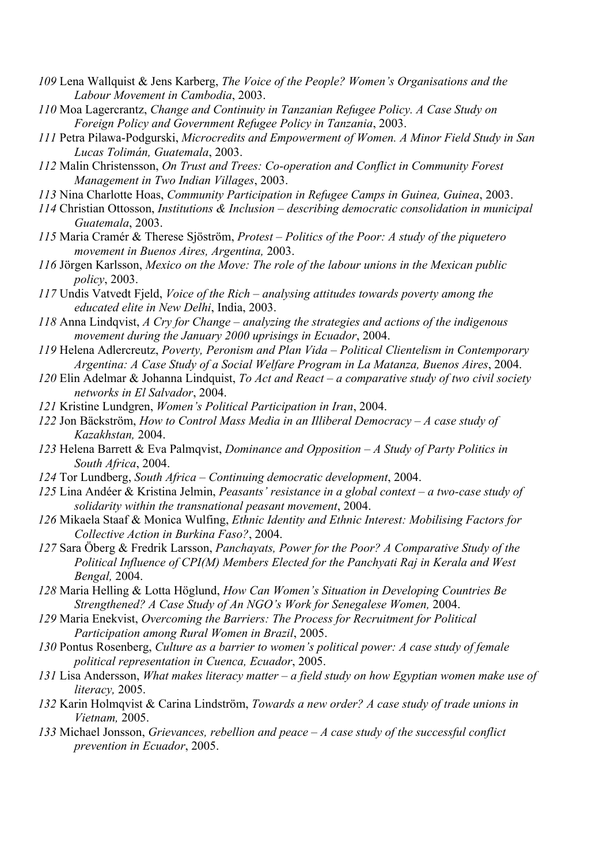- *109* Lena Wallquist & Jens Karberg, *The Voice of the People? Women's Organisations and the Labour Movement in Cambodia*, 2003.
- *110* Moa Lagercrantz, *Change and Continuity in Tanzanian Refugee Policy. A Case Study on Foreign Policy and Government Refugee Policy in Tanzania*, 2003.
- *111* Petra Pilawa-Podgurski, *Microcredits and Empowerment of Women. A Minor Field Study in San Lucas Tolimán, Guatemala*, 2003.
- *112* Malin Christensson, *On Trust and Trees: Co-operation and Conflict in Community Forest Management in Two Indian Villages*, 2003.
- *113* Nina Charlotte Hoas, *Community Participation in Refugee Camps in Guinea, Guinea*, 2003.
- *114* Christian Ottosson, *Institutions & Inclusion – describing democratic consolidation in municipal Guatemala*, 2003.
- *115* Maria Cramér & Therese Sjöström, *Protest – Politics of the Poor: A study of the piquetero movement in Buenos Aires, Argentina,* 2003.
- *116* Jörgen Karlsson, *Mexico on the Move: The role of the labour unions in the Mexican public policy*, 2003.
- *117* Undis Vatvedt Fjeld, *Voice of the Rich – analysing attitudes towards poverty among the educated elite in New Delhi*, India, 2003.
- *118* Anna Lindqvist, *A Cry for Change – analyzing the strategies and actions of the indigenous movement during the January 2000 uprisings in Ecuador*, 2004.
- *119* Helena Adlercreutz, *Poverty, Peronism and Plan Vida – Political Clientelism in Contemporary Argentina: A Case Study of a Social Welfare Program in La Matanza, Buenos Aires*, 2004.
- *120* Elin Adelmar & Johanna Lindquist, *To Act and React – a comparative study of two civil society networks in El Salvador*, 2004.
- *121* Kristine Lundgren, *Women's Political Participation in Iran*, 2004.
- *122* Jon Bäckström, *How to Control Mass Media in an Illiberal Democracy – A case study of Kazakhstan,* 2004.
- *123* Helena Barrett & Eva Palmqvist, *Dominance and Opposition – A Study of Party Politics in South Africa*, 2004.
- *124* Tor Lundberg, *South Africa – Continuing democratic development*, 2004.
- *125* Lina Andéer & Kristina Jelmin, *Peasants' resistance in a global context – a two-case study of solidarity within the transnational peasant movement*, 2004.
- *126* Mikaela Staaf & Monica Wulfing, *Ethnic Identity and Ethnic Interest: Mobilising Factors for Collective Action in Burkina Faso?*, 2004.
- *127* Sara Öberg & Fredrik Larsson, *Panchayats, Power for the Poor? A Comparative Study of the Political Influence of CPI(M) Members Elected for the Panchyati Raj in Kerala and West Bengal,* 2004.
- *128* Maria Helling & Lotta Höglund, *How Can Women's Situation in Developing Countries Be Strengthened? A Case Study of An NGO's Work for Senegalese Women,* 2004.
- *129* Maria Enekvist, *Overcoming the Barriers: The Process for Recruitment for Political Participation among Rural Women in Brazil*, 2005.
- *130* Pontus Rosenberg, *Culture as a barrier to women's political power: A case study of female political representation in Cuenca, Ecuador*, 2005.
- *131* Lisa Andersson, *What makes literacy matter – a field study on how Egyptian women make use of literacy,* 2005.
- *132* Karin Holmqvist & Carina Lindström, *Towards a new order? A case study of trade unions in Vietnam,* 2005.
- *133* Michael Jonsson, *Grievances, rebellion and peace – A case study of the successful conflict prevention in Ecuador*, 2005.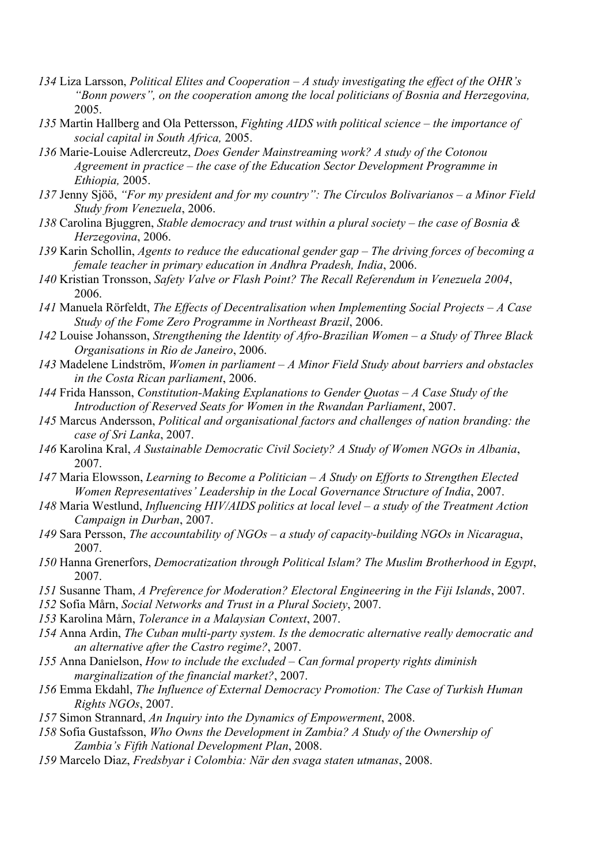- *134* Liza Larsson, *Political Elites and Cooperation – A study investigating the effect of the OHR's "Bonn powers", on the cooperation among the local politicians of Bosnia and Herzegovina,*  2005.
- *135* Martin Hallberg and Ola Pettersson, *Fighting AIDS with political science – the importance of social capital in South Africa,* 2005.
- *136* Marie-Louise Adlercreutz, *Does Gender Mainstreaming work? A study of the Cotonou Agreement in practice – the case of the Education Sector Development Programme in Ethiopia,* 2005.
- *137* Jenny Sjöö, *"For my president and for my country": The Círculos Bolivarianos – a Minor Field Study from Venezuela*, 2006.
- *138* Carolina Bjuggren, *Stable democracy and trust within a plural society – the case of Bosnia & Herzegovina*, 2006.
- *139* Karin Schollin, *Agents to reduce the educational gender gap – The driving forces of becoming a female teacher in primary education in Andhra Pradesh, India*, 2006.
- *140* Kristian Tronsson, *Safety Valve or Flash Point? The Recall Referendum in Venezuela 2004*, 2006.
- *141* Manuela Rörfeldt, *The Effects of Decentralisation when Implementing Social Projects – A Case Study of the Fome Zero Programme in Northeast Brazil*, 2006.
- *142* Louise Johansson, *Strengthening the Identity of Afro-Brazilian Women – a Study of Three Black Organisations in Rio de Janeiro*, 2006.
- *143* Madelene Lindström, *Women in parliament – A Minor Field Study about barriers and obstacles in the Costa Rican parliament*, 2006.
- *144* Frida Hansson, *Constitution-Making Explanations to Gender Quotas – A Case Study of the Introduction of Reserved Seats for Women in the Rwandan Parliament*, 2007.
- *145* Marcus Andersson, *Political and organisational factors and challenges of nation branding: the case of Sri Lanka*, 2007.
- *146* Karolina Kral, *A Sustainable Democratic Civil Society? A Study of Women NGOs in Albania*, 2007.
- *147* Maria Elowsson, *Learning to Become a Politician – A Study on Efforts to Strengthen Elected Women Representatives' Leadership in the Local Governance Structure of India*, 2007.
- *148* Maria Westlund, *Influencing HIV/AIDS politics at local level – a study of the Treatment Action Campaign in Durban*, 2007.
- *149* Sara Persson, *The accountability of NGOs – a study of capacity-building NGOs in Nicaragua*, 2007.
- *150* Hanna Grenerfors, *Democratization through Political Islam? The Muslim Brotherhood in Egypt*, 2007.
- *151* Susanne Tham, *A Preference for Moderation? Electoral Engineering in the Fiji Islands*, 2007.
- *152* Sofia Mårn, *Social Networks and Trust in a Plural Society*, 2007.
- *153* Karolina Mårn, *Tolerance in a Malaysian Context*, 2007.
- *154* Anna Ardin, *The Cuban multi-party system. Is the democratic alternative really democratic and an alternative after the Castro regime?*, 2007.
- *155* Anna Danielson, *How to include the excluded – Can formal property rights diminish marginalization of the financial market?*, 2007.
- *156* Emma Ekdahl, *The Influence of External Democracy Promotion: The Case of Turkish Human Rights NGOs*, 2007.
- *157* Simon Strannard, *An Inquiry into the Dynamics of Empowerment*, 2008.
- *158* Sofia Gustafsson, *Who Owns the Development in Zambia? A Study of the Ownership of Zambia's Fifth National Development Plan*, 2008.
- *159* Marcelo Diaz, *Fredsbyar i Colombia: När den svaga staten utmanas*, 2008.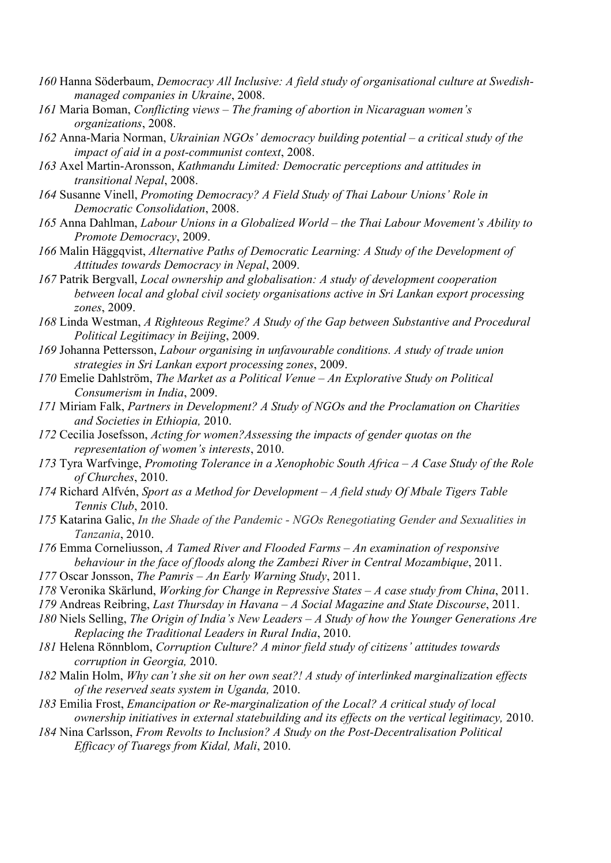- *160* Hanna Söderbaum, *Democracy All Inclusive: A field study of organisational culture at Swedishmanaged companies in Ukraine*, 2008.
- *161* Maria Boman, *Conflicting views – The framing of abortion in Nicaraguan women's organizations*, 2008.
- *162* Anna-Maria Norman, *Ukrainian NGOs' democracy building potential – a critical study of the impact of aid in a post-communist context*, 2008.
- *163* Axel Martin-Aronsson, *Kathmandu Limited: Democratic perceptions and attitudes in transitional Nepal*, 2008.
- *164* Susanne Vinell, *Promoting Democracy? A Field Study of Thai Labour Unions' Role in Democratic Consolidation*, 2008.
- *165* Anna Dahlman, *Labour Unions in a Globalized World – the Thai Labour Movement's Ability to Promote Democracy*, 2009.
- *166* Malin Häggqvist, *Alternative Paths of Democratic Learning: A Study of the Development of Attitudes towards Democracy in Nepal*, 2009.
- *167* Patrik Bergvall, *Local ownership and globalisation: A study of development cooperation between local and global civil society organisations active in Sri Lankan export processing zones*, 2009.
- *168* Linda Westman, *A Righteous Regime? A Study of the Gap between Substantive and Procedural Political Legitimacy in Beijing*, 2009.
- *169* Johanna Pettersson, *Labour organising in unfavourable conditions. A study of trade union strategies in Sri Lankan export processing zones*, 2009.
- *170* Emelie Dahlström, *The Market as a Political Venue – An Explorative Study on Political Consumerism in India*, 2009.
- *171* Miriam Falk, *Partners in Development? A Study of NGOs and the Proclamation on Charities and Societies in Ethiopia,* 2010.
- *172* Cecilia Josefsson, *Acting for women?Assessing the impacts of gender quotas on the representation of women's interests*, 2010.
- *173* Tyra Warfvinge, *Promoting Tolerance in a Xenophobic South Africa – A Case Study of the Role of Churches*, 2010.
- *174* Richard Alfvén, *Sport as a Method for Development – A field study Of Mbale Tigers Table Tennis Club*, 2010.
- *175* Katarina Galic, *In the Shade of the Pandemic - NGOs Renegotiating Gender and Sexualities in Tanzania*, 2010.
- *176* Emma Corneliusson, *A Tamed River and Flooded Farms – An examination of responsive behaviour in the face of floods along the Zambezi River in Central Mozambique*, 2011.
- *177* Oscar Jonsson, *The Pamris – An Early Warning Study*, 2011.
- *178* Veronika Skärlund, *Working for Change in Repressive States – A case study from China*, 2011.
- *179* Andreas Reibring, *Last Thursday in Havana – A Social Magazine and State Discourse*, 2011.
- *180* Niels Selling, *The Origin of India's New Leaders – A Study of how the Younger Generations Are Replacing the Traditional Leaders in Rural India*, 2010.
- *181* Helena Rönnblom, *Corruption Culture? A minor field study of citizens' attitudes towards corruption in Georgia,* 2010.
- *182* Malin Holm, *Why can't she sit on her own seat?! A study of interlinked marginalization effects of the reserved seats system in Uganda,* 2010.
- *183* Emilia Frost, *Emancipation or Re-marginalization of the Local? A critical study of local ownership initiatives in external statebuilding and its effects on the vertical legitimacy,* 2010.
- *184* Nina Carlsson, *From Revolts to Inclusion? A Study on the Post-Decentralisation Political Efficacy of Tuaregs from Kidal, Mali*, 2010.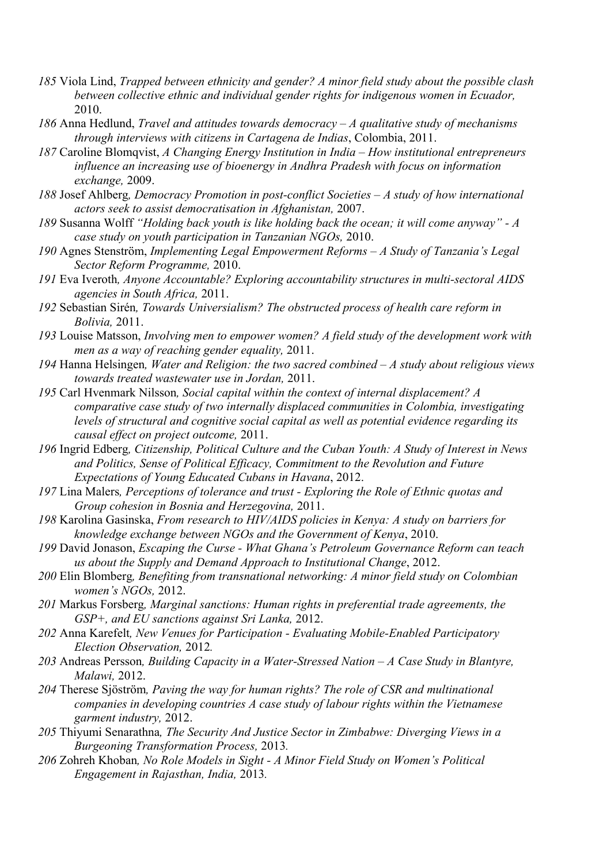- *185* Viola Lind, *Trapped between ethnicity and gender? A minor field study about the possible clash between collective ethnic and individual gender rights for indigenous women in Ecuador,* 2010.
- *186* Anna Hedlund, *Travel and attitudes towards democracy – A qualitative study of mechanisms through interviews with citizens in Cartagena de Indias*, Colombia, 2011.
- *187* Caroline Blomqvist, *A Changing Energy Institution in India – How institutional entrepreneurs influence an increasing use of bioenergy in Andhra Pradesh with focus on information exchange,* 2009.
- *188* Josef Ahlberg*, Democracy Promotion in post-conflict Societies – A study of how international actors seek to assist democratisation in Afghanistan,* 2007.
- *189* Susanna Wolff *"Holding back youth is like holding back the ocean; it will come anyway" - A case study on youth participation in Tanzanian NGOs,* 2010.
- *190* Agnes Stenström, *Implementing Legal Empowerment Reforms – A Study of Tanzania's Legal Sector Reform Programme,* 2010.
- *191* Eva Iveroth*, Anyone Accountable? Exploring accountability structures in multi-sectoral AIDS agencies in South Africa,* 2011.
- *192* Sebastian Sirén*, Towards Universialism? The obstructed process of health care reform in Bolivia,* 2011.
- *193* Louise Matsson, *Involving men to empower women? A field study of the development work with men as a way of reaching gender equality,* 2011.
- *194* Hanna Helsingen*, Water and Religion: the two sacred combined – A study about religious views towards treated wastewater use in Jordan,* 2011.
- *195* Carl Hvenmark Nilsson*, Social capital within the context of internal displacement? A comparative case study of two internally displaced communities in Colombia, investigating levels of structural and cognitive social capital as well as potential evidence regarding its causal effect on project outcome,* 2011.
- *196* Ingrid Edberg*, Citizenship, Political Culture and the Cuban Youth: A Study of Interest in News and Politics, Sense of Political Efficacy, Commitment to the Revolution and Future Expectations of Young Educated Cubans in Havana*, 2012.
- *197* Lina Malers*, Perceptions of tolerance and trust - Exploring the Role of Ethnic quotas and Group cohesion in Bosnia and Herzegovina,* 2011.
- *198* Karolina Gasinska, *From research to HIV/AIDS policies in Kenya: A study on barriers for knowledge exchange between NGOs and the Government of Kenya*, 2010.
- *199* David Jonason, *Escaping the Curse - What Ghana's Petroleum Governance Reform can teach us about the Supply and Demand Approach to Institutional Change*, 2012.
- *200* Elin Blomberg*, Benefiting from transnational networking: A minor field study on Colombian women's NGOs,* 2012.
- *201* Markus Forsberg*, Marginal sanctions: Human rights in preferential trade agreements, the GSP+, and EU sanctions against Sri Lanka,* 2012.
- *202* Anna Karefelt*, New Venues for Participation - Evaluating Mobile-Enabled Participatory Election Observation,* 2012*.*
- *203* Andreas Persson*, Building Capacity in a Water-Stressed Nation – A Case Study in Blantyre, Malawi,* 2012.
- *204* Therese Sjöström*, Paving the way for human rights? The role of CSR and multinational companies in developing countries A case study of labour rights within the Vietnamese garment industry,* 2012.
- *205* Thiyumi Senarathna*, The Security And Justice Sector in Zimbabwe: Diverging Views in a Burgeoning Transformation Process,* 2013*.*
- *206* Zohreh Khoban*, No Role Models in Sight - A Minor Field Study on Women's Political Engagement in Rajasthan, India,* 2013*.*